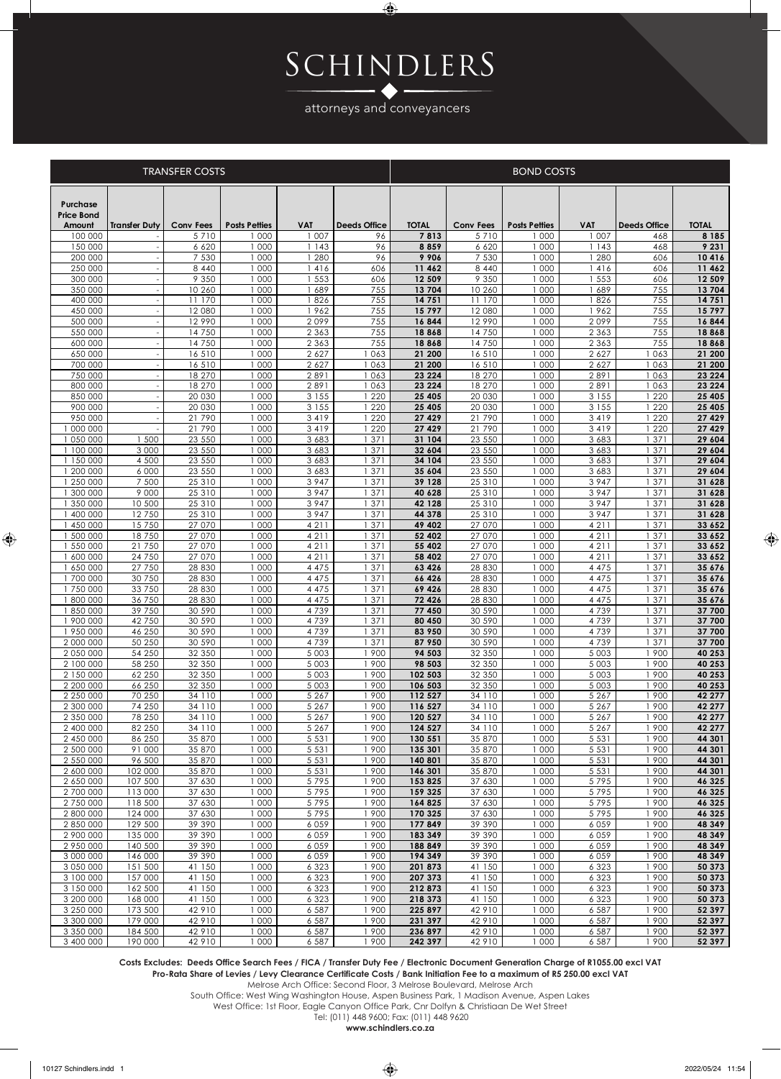## Schindlers

 $\bigoplus$ 

attorneys and conveyancers

|  | RANSFER COSTS |  |
|--|---------------|--|
|  |               |  |

|                                         | <b>TRANSFER COSTS</b>                                |                    |                      |                    |                     |                    | <b>BOND COSTS</b>  |                      |                    |                     |                   |  |  |
|-----------------------------------------|------------------------------------------------------|--------------------|----------------------|--------------------|---------------------|--------------------|--------------------|----------------------|--------------------|---------------------|-------------------|--|--|
| Purchase<br><b>Price Bond</b><br>Amount | <b>Transfer Duty</b>                                 | <b>Conv Fees</b>   | <b>Posts Petties</b> | <b>VAT</b>         | <b>Deeds Office</b> | <b>TOTAL</b>       | <b>Conv Fees</b>   | <b>Posts Petties</b> | <b>VAT</b>         | <b>Deeds Office</b> | <b>TOTAL</b>      |  |  |
| 100 000                                 |                                                      | 5710               | 1 000                | 1007               | 96                  | 7813               | 5710               | 1 000                | 1007               | 468                 | 8 1 8 5           |  |  |
| 150 000                                 |                                                      | 6 6 20             | 1 000                | 1143               | 96                  | 8859               | 6 6 2 0            | 1 000                | 1143               | 468                 | 9 2 3 1           |  |  |
| 200 000                                 |                                                      | 7 5 3 0            | 1 000                | 1 2 8 0            | 96                  | 9906               | 7 5 3 0            | 1 000                | 1 2 8 0            | 606                 | 10416             |  |  |
| 250 000                                 |                                                      | 8 4 4 0            | 1 000<br>1 000       | 1416<br>1 553      | 606                 | 11 462<br>12 509   | 8 4 4 0<br>9 3 5 0 | 1 000<br>1 000       | 416<br>1 553       | 606                 | 11 462<br>12 509  |  |  |
| 300 000<br>350 000                      |                                                      | 9 3 5 0<br>10 260  | 1 000                | 1689               | 606<br>755          | 13704              | 10 260             | 1 000                | 689                | 606<br>755          | 13704             |  |  |
| 400 000                                 |                                                      | 11 170             | 1 000                | 1826               | 755                 | 14751              | 11 170             | 1 000                | 826                | 755                 | 14751             |  |  |
| 450 000                                 | $\overline{\phantom{a}}$                             | 12 080             | 1 000                | 1962               | 755                 | 15797              | 12 080             | 1 000                | 1962               | 755                 | 15797             |  |  |
| 500 000                                 | $\overline{a}$                                       | 12990              | 1000                 | 2099               | 755                 | 16844              | 12990              | 1000                 | 2099               | 755                 | 16844             |  |  |
| 550 000                                 | Ĭ.                                                   | 14750              | 1 000                | 2 3 6 3            | 755                 | 18868              | 14750              | 1 000                | 2 3 6 3            | 755                 | 18868             |  |  |
| 600 000                                 | $\overline{a}$                                       | 14750              | 1000                 | 2 3 6 3            | 755                 | 18868              | 14750              | 1000                 | 2 3 6 3            | 755                 | 18868             |  |  |
| 650 000<br>700 000                      | $\overline{\phantom{a}}$                             | 16510              | 000                  | 2 6 2 7            | 063                 | 21 200<br>21 200   | 16510<br>16510     | 1 000                | 2 6 2 7            | 063                 | 21 200            |  |  |
| 750 000                                 | $\overline{\phantom{a}}$<br>$\overline{\phantom{a}}$ | 16510<br>18 270    | 000<br>000           | 2 6 2 7<br>2891    | 1063<br>063         | 23 2 24            | 18 270             | 000<br>000           | 2 6 2 7<br>2891    | 063<br>063          | 21 200<br>23 2 24 |  |  |
| 800 000                                 |                                                      | 18 270             | 000                  | 2891               | 1063                | 23 2 24            | 18 270             | 000                  | 2891               | 063                 | 23 2 24           |  |  |
| 850 000                                 | $\overline{a}$                                       | 20 030             | 1 000                | 3 1 5 5            | 1 2 2 0             | 25 4 05            | 20 030             | 1 000                | 3 1 5 5            | 220                 | 25 405            |  |  |
| 900 000                                 |                                                      | 20 030             | 1 000                | 3 1 5 5            | 1 2 2 0             | 25 405             | 20 030             | 1 000                | 3 1 5 5            | 220                 | 25 405            |  |  |
| 950 000                                 |                                                      | 21790              | 1 000                | 3 4 1 9            | 1 2 2 0             | 27 429             | 21790              | 1 000                | 3419               | 220                 | 27 429            |  |  |
| 1 000 000                               |                                                      | 21790              | 1 000                | 3 4 1 9            | 1 2 2 0             | 27 4 29            | 21790              | 1 000                | 3 4 1 9            | 1 2 2 0             | 27 429            |  |  |
| 1 050 000<br>1 100 000                  | 1 500<br>3 0 0 0                                     | 23 550<br>23 550   | 1 000<br>1 000       | 3 6 8 3<br>3 6 8 3 | 1 371<br>1 371      | 31 104<br>32 604   | 23 550<br>23 550   | 1 000<br>1 000       | 3 6 8 3<br>3 6 8 3 | 1371<br>371         | 29 604<br>29 604  |  |  |
| 1 150 000                               | 4 500                                                | 23 550             | 1 000                | 3 6 8 3            | 1371                | 34 104             | 23 550             | 1 000                | 3 6 8 3            | 371                 | 29 604            |  |  |
| 1 200 000                               | 6 0 0 0                                              | 23 550             | 1 000                | 3 6 8 3            | 1 371               | 35 604             | 23 550             | 1 000                | 3 6 8 3            | 371                 | 29 604            |  |  |
| 1 250 000                               | 7 500                                                | 25 3 10            | 1 000                | 3947               | 1 371               | 39 1 28            | 25 310             | 1 000                | 3 9 4 7            | 371                 | 31 628            |  |  |
| 1 300 000                               | 9 0 0 0                                              | 25 3 10            | 1 000                | 3 9 4 7            | 1 371               | 40 628             | 25 310             | 1 000                | 3 9 4 7            | 371                 | 31 628            |  |  |
| 1 350 000                               | 10 500                                               | 25 310             | 1 000                | 3947               | 1 371               | 42 128             | 25 310             | 1000                 | 3947               | 1371                | 31 628            |  |  |
| 1400000                                 | 12750                                                | 25 310             | 1 000                | 3947               | 1 371               | 44 378             | 25310              | 1000                 | 3 9 4 7            | 1371                | 31 628            |  |  |
| 1 450 000<br>1 500 000                  | 15750<br>18750                                       | 27 070<br>27 070   | 1 000<br>1 000       | 4211<br>4211       | 1 371<br>1371       | 49 402<br>52 402   | 27 070<br>27 070   | 1000<br>1 000        | 4211<br>4211       | 371<br>1<br>1371    | 33 652<br>33 652  |  |  |
| 1 550 000                               | 21750                                                | 27 070             | 1000                 | 4211               | 1371                | 55 402             | 27 070             | 1000                 | 4211               | 1371                | 33 652            |  |  |
| 1 600 000                               | 24 7 50                                              | 27 070             | 000                  | 4211               | 1371                | 58 402             | 27 070             | 1 000                | 4211               | 371                 | 33 652            |  |  |
| 1 650 000                               | 27 750                                               | 28 8 30            | 000                  | 4 4 7 5            | 1371                | 63 4 26            | 28 8 30            | 000                  | 4 4 7 5            | 371                 | 35 676            |  |  |
| 1 700 000                               | 30 750                                               | 28 8 30            | 000                  | 4 4 7 5            | 1371                | 66 426             | 28 8 30            | 000                  | 4 4 7 5            | 371                 | 35 676            |  |  |
| 1 750 000                               | 33 7 50                                              | 28 8 30            | 000                  | 4 4 7 5            | 1371                | 69 426             | 28 8 30            | 000                  | 4 4 7 5            | 371                 | 35 676            |  |  |
| 1 800 000<br>1850000                    | 36 750<br>39 750                                     | 28 8 30<br>30 590  | 1 000<br>1 000       | 4 4 7 5<br>4739    | 1 371<br>1 371      | 72 4 26<br>77 450  | 28 8 30<br>30 590  | 1 000<br>1 000       | 4 4 7 5<br>4739    | 371<br>371<br>1     | 35 676<br>37 700  |  |  |
| 1 900 000                               | 42 750                                               | 30 590             | 1 000                | 4739               | 1 371               | 80 450             | 30 590             | 1 000                | 4739               | 371                 | 37 700            |  |  |
| 1 950 000                               | 46 250                                               | 30 590             | 1 000                | 4739               | 1 371               | 83 950             | 30 590             | 1 000                | 4739               | 371                 | 37 700            |  |  |
| 2 000 000                               | 50 250                                               | 30 590             | 1 000                | 4739               | 1 371               | 87 950             | 30 590             | 1 000                | 4739               | 1371                | 37 700            |  |  |
| 2 050 000                               | 54 250                                               | 32 350             | 1 000                | 5 0 0 3            | 1 900               | 94 503             | 32 350             | 1 000                | 5 0 0 3            | 900                 | 40 253            |  |  |
| 2 100 000                               | 58 250                                               | 32 350             | 1 000                | 5 0 0 3            | 1 900               | 98 503             | 32 350             | 1 000                | 5 0 0 3            | 900                 | 40 253            |  |  |
| 2 150 000                               | 62 250                                               | 32 350             | 1 000                | 5 0 0 3            | 1 900               | 102 503            | 32 350             | 1 000                | 5 0 0 3            | 900                 | 40 253            |  |  |
| 2 200 000<br>2 250 000                  | 66 250<br>70 250                                     | 32 350<br>34 110   | 1 000<br>1 000       | 5 0 0 3<br>5 2 6 7 | 1900<br>1 900       | 106 503<br>112 527 | 32 350<br>34 110   | 1000<br>1 000        | 5 0 0 3<br>5 2 6 7 | 900<br>900          | 40 253<br>42 277  |  |  |
| 2 300 000                               | 74 250                                               | 34 110             | 1 000                | 5 2 6 7            | 1900                | 116 527            | 34 110             | 1000                 | 5 2 6 7            | 1 900               | 42 277            |  |  |
| 2 350 000                               | 78 250                                               | 34 110             | 1000                 | 5 2 6 7            | 1900                | 120 527            | 34 110             | 1 000                | 5 2 6 7            | 1900                | 42 277            |  |  |
| 2 400 000                               | 82 250                                               | 34 110             | 1 000                | 5 2 6 7            | 1900                | 124 527            | 34 110             | 1 000                | 5 2 6 7            | 1 900               | 42 277            |  |  |
| 2 450 000                               | 86 250                                               | 35 870             | 1000                 | 5 5 3 1            | 1900                | 130 551            | 35 870             | 1000                 | 5 5 3 1            | 1 900               | 44 301            |  |  |
| 2 500 000                               | 91 000                                               | 35 870             | 1 000                | 5 5 3 1            | 1900                | 135 301            | 35 870             | 1000                 | 5 5 3 1            | 1 900               | 44 301            |  |  |
| 2 550 000<br>2 600 000                  | 96 500<br>102 000                                    | 35 870<br>35 870   | 000<br>000           | 5 5 3 1<br>5 5 3 1 | 1900<br>1900        | 140 801<br>146 301 | 35 870<br>35 870   | 000<br>000           | 5 5 3 1<br>5 5 3 1 | 900<br>900          | 44 301<br>44 301  |  |  |
| 2 650 000                               | 107 500                                              | 37 630             | 1 000                | 5795               | 1900                | 153 825            | 37 630             | 1 000                | 5795               | 900                 | 46 325            |  |  |
| 2 700 000                               | 113 000                                              | 37 630             | 1000                 | 5795               | 1900                | 159 325            | 37 630             | 1 000                | 5795               | 900                 | 46 325            |  |  |
| 2 750 000                               | 118 500                                              | 37 630             | 1 000                | 5795               | 1 900               | 164 825            | 37 630             | 1 000                | 5795               | 900                 | 46 325            |  |  |
| 2 800 000                               | 124 000                                              | 37 630             | 1 000                | 5795               | 1900                | 170 325            | 37 630             | 1 000                | 5795               | 1 900               | 46 325            |  |  |
| 2 850 000                               | 129 500                                              | 39 390             | 1 000                | 6059               | 1 900               | 177849             | 39 390             | 1 000                | 6059               | 1 900               | 48 349            |  |  |
| 2 900 000<br>2 950 000                  | 135 000                                              | 39 390             | 1000<br>1 000        | 6059               | 1900<br>1 900       | 183 349            | 39 390             | 1 000                | 6 0 5 9            | 1 900               | 48 349            |  |  |
| 3 000 000                               | 140 500<br>146 000                                   | 39 390<br>39 390   | 1 000                | 6059<br>6059       | 1 900               | 188 849<br>194 349 | 39 390<br>39 390   | 1 000<br>1000        | 6059<br>6 0 5 9    | 1 900<br>1 900      | 48 349<br>48 349  |  |  |
| 3 050 000                               | 151 500                                              | 41 150             | 1 000                | 6 3 2 3            | 1900                | 201873             | 41 150             | 1000                 | 6 3 2 3            | 1 900               | 50 373            |  |  |
| 3 100 000                               | 157 000                                              | 41 150             | 1 000                | 6 3 2 3            | 1900                | 207 373            | 41 150             | 1 000                | 6 3 2 3            | 1 900               | 50 373            |  |  |
| 3 150 000                               | 162 500                                              | 41 150             | 1 000                | 6 3 2 3            | 1900                | 212873             | 41 150             | 1000                 | 6 3 2 3            | 1 900               | 50 373            |  |  |
| 3 200 000                               | 168 000                                              | 41 150             | 1000                 | 6 3 2 3            | 1 900               | 218 373            | 41 150             | 1000                 | 6 3 2 3            | 1 900               | 50 373            |  |  |
| 3 250 000                               | 173 500                                              | 42 9 10            | 1000                 | 6 5 8 7            | 1900                | 225 897            | 42 9 10            | 1000                 | 6 5 8 7            | 1 900               | 52 397            |  |  |
| 3 300 000<br>3 350 000                  | 179 000<br>184 500                                   | 42 9 10<br>42 9 10 | 1000<br>1 0 0 0      | 6 5 8 7<br>6 5 8 7 | 1 900<br>1900       | 231 397<br>236 897 | 42 910<br>42 9 10  | 1000<br>1000         | 6 5 8 7<br>6 5 8 7 | 1 900<br>1 900      | 52 397<br>52 397  |  |  |
| 3 400 000                               | 190 000                                              | 42 9 10            | 1 000                | 6 5 8 7            | 1900                | 242 397            | 42 9 10            | 1 000                | 6 5 8 7            | 1 900               | 52 397            |  |  |
|                                         |                                                      |                    |                      |                    |                     |                    |                    |                      |                    |                     |                   |  |  |

Costs Excludes: Deeds Office Search Fees / FICA / Transfer Duty Fee / Electronic Document Generation Charge of R1055.00 excl VA1

Pro-Rata Share of Levies / Levy Clearance Certificate Costs / Bank Initiation Fee to a maximum of R5 250.00 excl VAT

Melrose Arch Office: Second Floor, 3 Melrose Boulevard, Melrose Arch Melrose Arch Office: Second Floor, 3 Melrose Boulevard, Melrose Arch

South Office: West Wing Washington House, Aspen Business Park, 1 Madison Avenue, Aspen Lakes South Office: West Wing Washington House, Aspen Business Park, 1 Madison Avenue, Aspen Lakes

West Office: 1st Floor, Eagle Canyon Office Park, Cnr Dolfyn & Christiaan De Wet Street West Office: 1st Floor, Eagle Canyon Office Park, Cnr Dolfyn & Christiaan De Wet Street

 Tel: (011) 448 9600; Fax: (011) 448 9620 Tel: (011) 448 9600; Fax: (011) 448 9620 www.schindlers.co.za **www.schindlers.co.za**

 $\bigoplus$ 

 $\bigoplus$